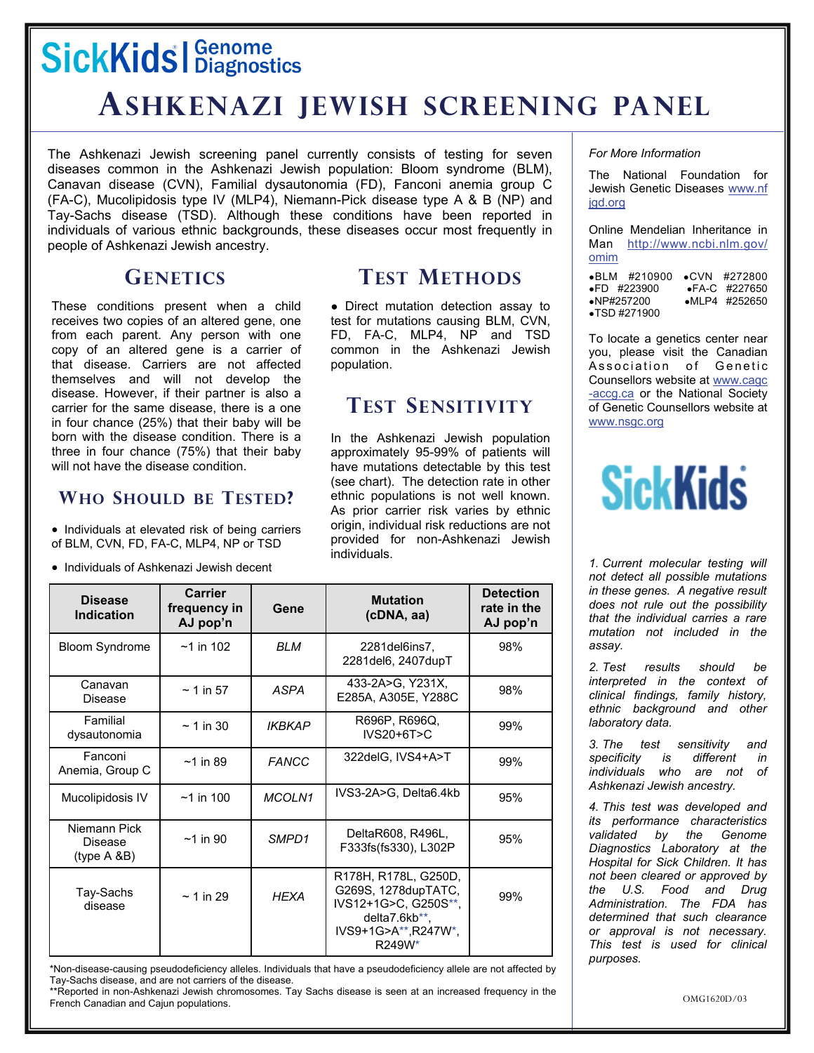## **SickKids | Genome**

### **ASHKENAZI JEWISH SCREENING PANEL**

The Ashkenazi Jewish screening panel currently consists of testing for seven diseases common in the Ashkenazi Jewish population: Bloom syndrome (BLM), Canavan disease (CVN), Familial dysautonomia (FD), Fanconi anemia group C (FA-C), Mucolipidosis type IV (MLP4), Niemann-Pick disease type A & B (NP) and Tay-Sachs disease (TSD). Although these conditions have been reported in individuals of various ethnic backgrounds, these diseases occur most frequently in people of Ashkenazi Jewish ancestry.

#### **GENETICS**

These conditions present when a child receives two copies of an altered gene, one from each parent. Any person with one copy of an altered gene is a carrier of that disease. Carriers are not affected themselves and will not develop the disease. However, if their partner is also a carrier for the same disease, there is a one in four chance (25%) that their baby will be born with the disease condition. There is a three in four chance (75%) that their baby will not have the disease condition.

#### **WHO SHOULD BE TESTED?**

• Individuals at elevated risk of being carriers of BLM, CVN, FD, FA-C, MLP4, NP or TSD

• Individuals of Ashkenazi Jewish decent

#### **TEST METHODS**

● Direct mutation detection assay to test for mutations causing BLM, CVN, FD, FA-C, MLP4, NP and TSD common in the Ashkenazi Jewish population.

#### **TEST SENSITIVITY**

In the Ashkenazi Jewish population approximately 95-99% of patients will have mutations detectable by this test (see chart). The detection rate in other ethnic populations is not well known. As prior carrier risk varies by ethnic origin, individual risk reductions are not provided for non-Ashkenazi Jewish individuals.

| <b>Disease</b><br><b>Indication</b>     | <b>Carrier</b><br>frequency in<br>AJ pop'n | Gene          | <b>Mutation</b><br>(cDNA, aa)                                                                                         | <b>Detection</b><br>rate in the<br>AJ pop'n |
|-----------------------------------------|--------------------------------------------|---------------|-----------------------------------------------------------------------------------------------------------------------|---------------------------------------------|
| <b>Bloom Syndrome</b>                   | $~1$ in 102                                | <b>BLM</b>    | 2281del6ins7,<br>2281del6, 2407dupT                                                                                   | 98%                                         |
| Canavan<br>Disease                      | $\sim$ 1 in 57                             | ASPA          | 433-2A>G, Y231X,<br>E285A, A305E, Y288C                                                                               | 98%                                         |
| Familial<br>dysautonomia                | $\sim$ 1 in 30                             | <b>IKBKAP</b> | R696P, R696Q,<br>$IVS20+6T>C$                                                                                         | 99%                                         |
| Fanconi<br>Anemia, Group C              | $~1$ in 89                                 | <b>FANCC</b>  | 322deIG, IVS4+A>T                                                                                                     | 99%                                         |
| Mucolipidosis IV                        | $~1$ in 100                                | MCOLN1        | IVS3-2A>G, Delta6.4kb                                                                                                 | 95%                                         |
| Niemann Pick<br>Disease<br>(type A & B) | $~1$ in 90                                 | SMPD1         | DeltaR608, R496L,<br>F333fs(fs330), L302P                                                                             | 95%                                         |
| Tay-Sachs<br>disease                    | $\sim$ 1 in 29                             | <b>HEXA</b>   | R178H, R178L, G250D,<br>G269S, 1278dupTATC,<br>IVS12+1G>C, G250S**,<br>delta7.6kb**,<br>IVS9+1G>A**,R247W*,<br>R249W* | 99%                                         |

\*Non-disease-causing pseudodeficiency alleles. Individuals that have a pseudodeficiency allele are not affected by Tay-Sachs disease, and are not carriers of the disease.

\*\*Reported in non-Ashkenazi Jewish chromosomes. Tay Sachs disease is seen at an increased frequency in the French Canadian and Cajun populations.

*For More Information* 

The National Foundation for Jewish Genetic Diseases www.nf [jgd.org](http://www.nfjgd.org)

Online Mendelian Inheritance in Man [http://www.ncbi.nlm.gov/](http://www.genetests.org/profiles/fragilex) [omim](http://www.genetests.org/profiles/fragilex)

●[BLM #210900](http://www.genetests.org/profiles/fragilex) ●CVN #272800<br>●FD #223900 ●FA-C #227650 。==<br>●FD #223900<br>●NP#257200 •[MLP4 #252650](http://www.genetests.org/profiles/fragilex) ●[TSD #271900](http://www.genetests.org/profiles/fragilex)

To locate a genetics center near you, please visit the Canadian Association of Genetic Counsellors website at [www.cagc](http://www.cagc-accg.ca/) [-accg.ca](http://www.cagc-accg.ca/) or the National Society of Genetic Counsellors website at [www.nsgc.org](http://www.nsgc.org/)

# **SickKids**

*1. Current molecular testing will not detect all possible mutations in these genes. A negative result does not rule out the possibility that the individual carries a rare mutation not included in the assay.* 

*2. Test results should be interpreted in the context of clinical findings, family history, ethnic background and other laboratory data.* 

*3. The test sensitivity and specificity is different in individuals who are not of Ashkenazi Jewish ancestry.* 

*4. This test was developed and its performance characteristics validated by the Genome Diagnostics Laboratory at the Hospital for Sick Children. It has not been cleared or approved by the U.S. Food and Drug Administration. The FDA has determined that such clearance or approval is not necessary. This test is used for clinical purposes.*